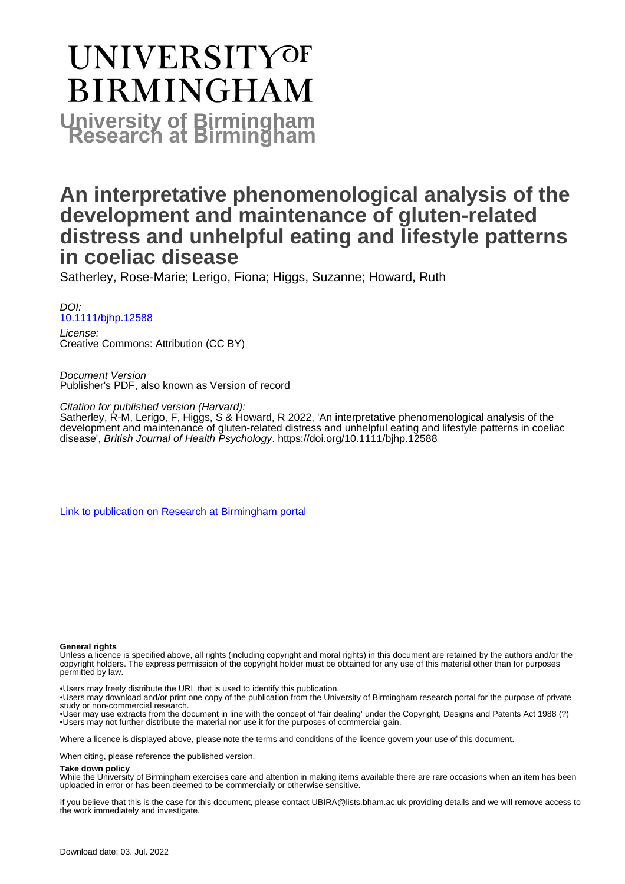# **UNIVERSITYOF BIRMINGHAM University of Birmingham**

# **An interpretative phenomenological analysis of the development and maintenance of gluten-related distress and unhelpful eating and lifestyle patterns in coeliac disease**

Satherley, Rose-Marie; Lerigo, Fiona; Higgs, Suzanne; Howard, Ruth

DOI: [10.1111/bjhp.12588](https://doi.org/10.1111/bjhp.12588)

License: Creative Commons: Attribution (CC BY)

Document Version Publisher's PDF, also known as Version of record

Citation for published version (Harvard):

Satherley, R-M, Lerigo, F, Higgs, S & Howard, R 2022, 'An interpretative phenomenological analysis of the development and maintenance of gluten-related distress and unhelpful eating and lifestyle patterns in coeliac disease', British Journal of Health Psychology. <https://doi.org/10.1111/bjhp.12588>

[Link to publication on Research at Birmingham portal](https://birmingham.elsevierpure.com/en/publications/3a15c1bf-1ed1-4265-aa41-12c0823ab0eb)

#### **General rights**

Unless a licence is specified above, all rights (including copyright and moral rights) in this document are retained by the authors and/or the copyright holders. The express permission of the copyright holder must be obtained for any use of this material other than for purposes permitted by law.

• Users may freely distribute the URL that is used to identify this publication.

• Users may download and/or print one copy of the publication from the University of Birmingham research portal for the purpose of private study or non-commercial research.

• User may use extracts from the document in line with the concept of 'fair dealing' under the Copyright, Designs and Patents Act 1988 (?) • Users may not further distribute the material nor use it for the purposes of commercial gain.

Where a licence is displayed above, please note the terms and conditions of the licence govern your use of this document.

When citing, please reference the published version.

#### **Take down policy**

While the University of Birmingham exercises care and attention in making items available there are rare occasions when an item has been uploaded in error or has been deemed to be commercially or otherwise sensitive.

If you believe that this is the case for this document, please contact UBIRA@lists.bham.ac.uk providing details and we will remove access to the work immediately and investigate.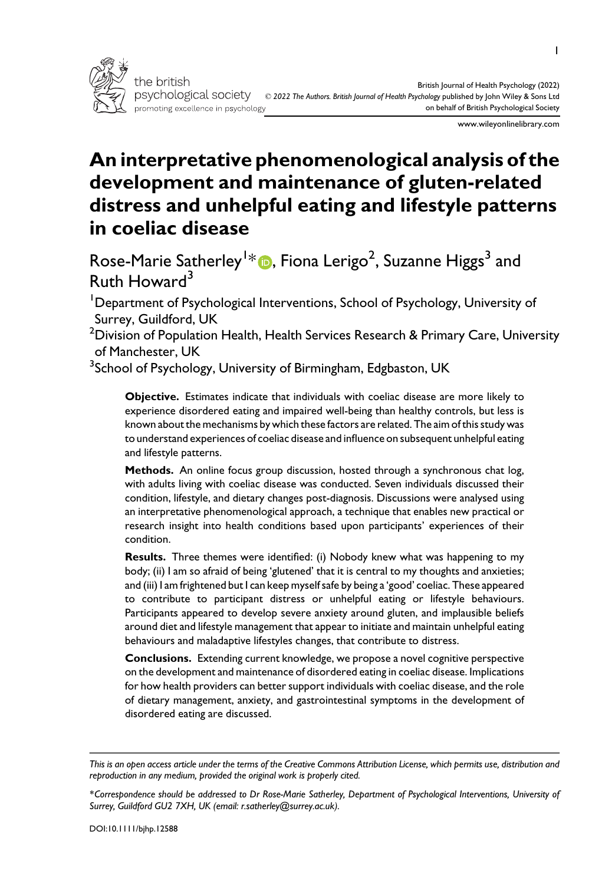

www.wileyonlinelibrary.com

# An interpretative phenomenological analysis of the development and maintenance of gluten-related distress and unhelpful eating and lifestyle patterns in coeliac disease

Rose-Marie Satherley<sup>1</sup>\* **D**, Fiona Lerigo<sup>2</sup>, Suzanne Higgs<sup>3</sup> and Ruth Howard $3$ 

<sup>1</sup>Department of Psychological Interventions, School of Psychology, University of Surrey, Guildford, UK

 $^2$ Division of Population Health, Health Services Research & Primary Care, University of Manchester, UK

 $^3$ School of Psychology, University of Birmingham, Edgbaston, UK

Objective. Estimates indicate that individuals with coeliac disease are more likely to experience disordered eating and impaired well-being than healthy controls, but less is known about the mechanisms by which these factors are related. The aim of this study was to understand experiences of coeliac disease and influence on subsequent unhelpful eating and lifestyle patterns.

Methods. An online focus group discussion, hosted through a synchronous chat log, with adults living with coeliac disease was conducted. Seven individuals discussed their condition, lifestyle, and dietary changes post-diagnosis. Discussions were analysed using an interpretative phenomenological approach, a technique that enables new practical or research insight into health conditions based upon participants' experiences of their condition.

Results. Three themes were identified: (i) Nobody knew what was happening to my body; (ii) I am so afraid of being 'glutened' that it is central to my thoughts and anxieties; and (iii) I am frightened but I can keep myself safe by being a 'good' coeliac. These appeared to contribute to participant distress or unhelpful eating or lifestyle behaviours. Participants appeared to develop severe anxiety around gluten, and implausible beliefs around diet and lifestyle management that appear to initiate and maintain unhelpful eating behaviours and maladaptive lifestyles changes, that contribute to distress.

Conclusions. Extending current knowledge, we propose a novel cognitive perspective on the development and maintenance of disordered eating in coeliac disease. Implications for how health providers can better support individuals with coeliac disease, and the role of dietary management, anxiety, and gastrointestinal symptoms in the development of disordered eating are discussed.

This is an open access article under the terms of the [Creative Commons Attribution](http://creativecommons.org/licenses/by/4.0/) License, which permits use, distribution and reproduction in any medium, provided the original work is properly cited.

<sup>\*</sup>Correspondence should be addressed to Dr Rose-Marie Satherley, Department of Psychological Interventions, University of Surrey, Guildford GU2 7XH, UK (email: [r.satherley@surrey.ac.uk\)](mailto:).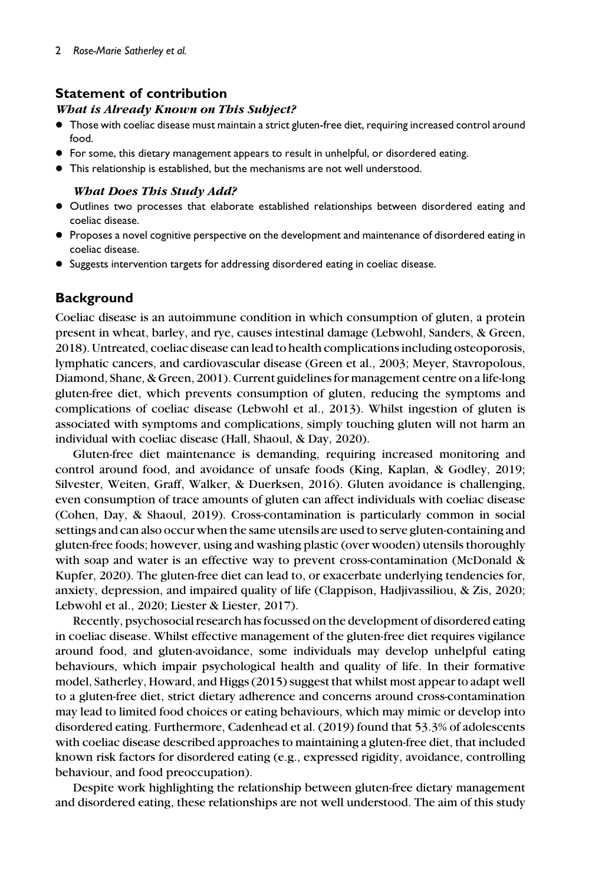# Statement of contribution

# What is Already Known on This Subject?

- Those with coeliac disease must maintain a strict gluten-free diet, requiring increased control around food.
- For some, this dietary management appears to result in unhelpful, or disordered eating.
- This relationship is established, but the mechanisms are not well understood.

# What Does This Study Add?

- Outlines two processes that elaborate established relationships between disordered eating and coeliac disease.
- Proposes a novel cognitive perspective on the development and maintenance of disordered eating in coeliac disease.
- Suggests intervention targets for addressing disordered eating in coeliac disease.

# **Background**

Coeliac disease is an autoimmune condition in which consumption of gluten, a protein present in wheat, barley, and rye, causes intestinal damage (Lebwohl, Sanders, & Green, 2018). Untreated, coeliac disease can lead to health complications including osteoporosis, lymphatic cancers, and cardiovascular disease (Green et al., 2003; Meyer, Stavropolous, Diamond, Shane, & Green, 2001). Current guidelines for management centre on a life-long gluten-free diet, which prevents consumption of gluten, reducing the symptoms and complications of coeliac disease (Lebwohl et al., 2013). Whilst ingestion of gluten is associated with symptoms and complications, simply touching gluten will not harm an individual with coeliac disease (Hall, Shaoul, & Day, 2020).

Gluten-free diet maintenance is demanding, requiring increased monitoring and control around food, and avoidance of unsafe foods (King, Kaplan, & Godley, 2019; Silvester, Weiten, Graff, Walker, & Duerksen, 2016). Gluten avoidance is challenging, even consumption of trace amounts of gluten can affect individuals with coeliac disease (Cohen, Day, & Shaoul, 2019). Cross-contamination is particularly common in social settings and can also occur when the same utensils are used to serve gluten-containing and gluten-free foods; however, using and washing plastic (over wooden) utensils thoroughly with soap and water is an effective way to prevent cross-contamination (McDonald & Kupfer, 2020). The gluten-free diet can lead to, or exacerbate underlying tendencies for, anxiety, depression, and impaired quality of life (Clappison, Hadjivassiliou, & Zis, 2020; Lebwohl et al., 2020; Liester & Liester, 2017).

Recently, psychosocial research has focussed on the development of disordered eating in coeliac disease. Whilst effective management of the gluten-free diet requires vigilance around food, and gluten-avoidance, some individuals may develop unhelpful eating behaviours, which impair psychological health and quality of life. In their formative model, Satherley, Howard, and Higgs (2015) suggest that whilst most appear to adapt well to a gluten-free diet, strict dietary adherence and concerns around cross-contamination may lead to limited food choices or eating behaviours, which may mimic or develop into disordered eating. Furthermore, Cadenhead et al. (2019) found that 53.3% of adolescents with coeliac disease described approaches to maintaining a gluten-free diet, that included known risk factors for disordered eating (e.g., expressed rigidity, avoidance, controlling behaviour, and food preoccupation).

Despite work highlighting the relationship between gluten-free dietary management and disordered eating, these relationships are not well understood. The aim of this study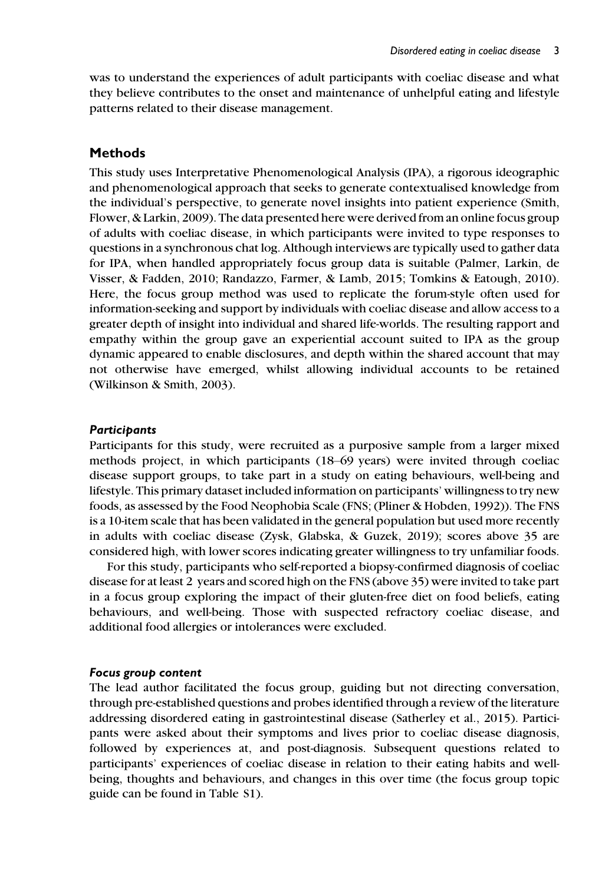was to understand the experiences of adult participants with coeliac disease and what they believe contributes to the onset and maintenance of unhelpful eating and lifestyle patterns related to their disease management.

#### Methods

This study uses Interpretative Phenomenological Analysis (IPA), a rigorous ideographic and phenomenological approach that seeks to generate contextualised knowledge from the individual's perspective, to generate novel insights into patient experience (Smith, Flower, & Larkin, 2009). The data presented here were derived from an online focus group of adults with coeliac disease, in which participants were invited to type responses to questions in a synchronous chat log. Although interviews are typically used to gather data for IPA, when handled appropriately focus group data is suitable (Palmer, Larkin, de Visser, & Fadden, 2010; Randazzo, Farmer, & Lamb, 2015; Tomkins & Eatough, 2010). Here, the focus group method was used to replicate the forum-style often used for information-seeking and support by individuals with coeliac disease and allow access to a greater depth of insight into individual and shared life-worlds. The resulting rapport and empathy within the group gave an experiential account suited to IPA as the group dynamic appeared to enable disclosures, and depth within the shared account that may not otherwise have emerged, whilst allowing individual accounts to be retained (Wilkinson & Smith, 2003).

#### **Participants**

Participants for this study, were recruited as a purposive sample from a larger mixed methods project, in which participants (18–69 years) were invited through coeliac disease support groups, to take part in a study on eating behaviours, well-being and lifestyle. This primary dataset included information on participants' willingness to try new foods, as assessed by the Food Neophobia Scale (FNS; (Pliner & Hobden, 1992)). The FNS is a 10-item scale that has been validated in the general population but used more recently in adults with coeliac disease (Zysk, Glabska, & Guzek, 2019); scores above 35 are considered high, with lower scores indicating greater willingness to try unfamiliar foods.

For this study, participants who self-reported a biopsy-confirmed diagnosis of coeliac disease for at least 2 years and scored high on the FNS (above 35) were invited to take part in a focus group exploring the impact of their gluten-free diet on food beliefs, eating behaviours, and well-being. Those with suspected refractory coeliac disease, and additional food allergies or intolerances were excluded.

#### Focus group content

The lead author facilitated the focus group, guiding but not directing conversation, through pre-established questions and probes identified through a review of the literature addressing disordered eating in gastrointestinal disease (Satherley et al., 2015). Participants were asked about their symptoms and lives prior to coeliac disease diagnosis, followed by experiences at, and post-diagnosis. Subsequent questions related to participants' experiences of coeliac disease in relation to their eating habits and wellbeing, thoughts and behaviours, and changes in this over time (the focus group topic guide can be found in Table S1).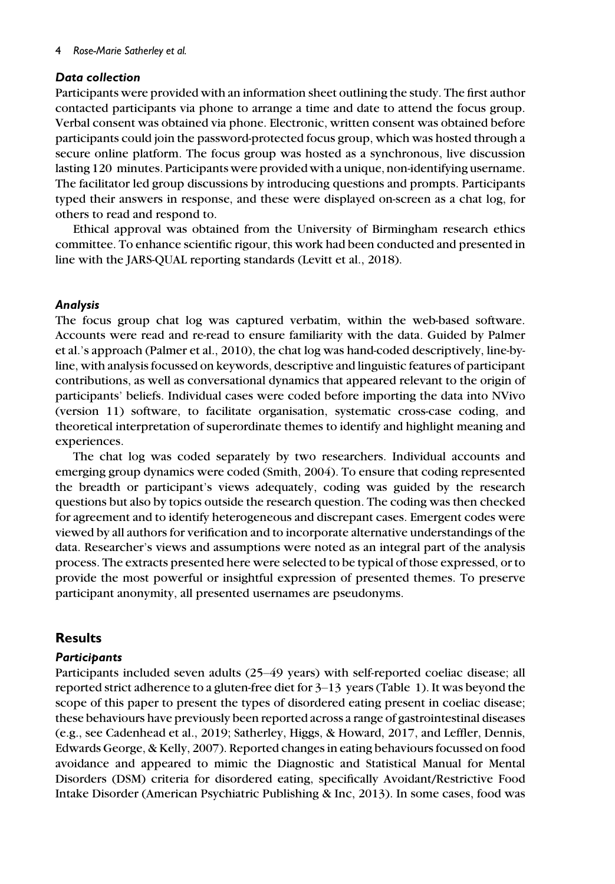## Data collection

Participants were provided with an information sheet outlining the study. The first author contacted participants via phone to arrange a time and date to attend the focus group. Verbal consent was obtained via phone. Electronic, written consent was obtained before participants could join the password-protected focus group, which was hosted through a secure online platform. The focus group was hosted as a synchronous, live discussion lasting 120 minutes. Participants were provided with a unique, non-identifying username. The facilitator led group discussions by introducing questions and prompts. Participants typed their answers in response, and these were displayed on-screen as a chat log, for others to read and respond to.

Ethical approval was obtained from the University of Birmingham research ethics committee. To enhance scientific rigour, this work had been conducted and presented in line with the JARS-QUAL reporting standards (Levitt et al., 2018).

## Analysis

The focus group chat log was captured verbatim, within the web-based software. Accounts were read and re-read to ensure familiarity with the data. Guided by Palmer et al.'s approach (Palmer et al., 2010), the chat log was hand-coded descriptively, line-byline, with analysis focussed on keywords, descriptive and linguistic features of participant contributions, as well as conversational dynamics that appeared relevant to the origin of participants' beliefs. Individual cases were coded before importing the data into NVivo (version 11) software, to facilitate organisation, systematic cross-case coding, and theoretical interpretation of superordinate themes to identify and highlight meaning and experiences.

The chat log was coded separately by two researchers. Individual accounts and emerging group dynamics were coded (Smith, 2004). To ensure that coding represented the breadth or participant's views adequately, coding was guided by the research questions but also by topics outside the research question. The coding was then checked for agreement and to identify heterogeneous and discrepant cases. Emergent codes were viewed by all authors for verification and to incorporate alternative understandings of the data. Researcher's views and assumptions were noted as an integral part of the analysis process. The extracts presented here were selected to be typical of those expressed, or to provide the most powerful or insightful expression of presented themes. To preserve participant anonymity, all presented usernames are pseudonyms.

# **Results**

#### **Participants**

Participants included seven adults (25–49 years) with self-reported coeliac disease; all reported strict adherence to a gluten-free diet for 3–13 years (Table 1). It was beyond the scope of this paper to present the types of disordered eating present in coeliac disease; these behaviours have previously been reported across a range of gastrointestinal diseases (e.g., see Cadenhead et al., 2019; Satherley, Higgs, & Howard, 2017, and Leffler, Dennis, Edwards George, & Kelly, 2007). Reported changes in eating behaviours focussed on food avoidance and appeared to mimic the Diagnostic and Statistical Manual for Mental Disorders (DSM) criteria for disordered eating, specifically Avoidant/Restrictive Food Intake Disorder (American Psychiatric Publishing & Inc, 2013). In some cases, food was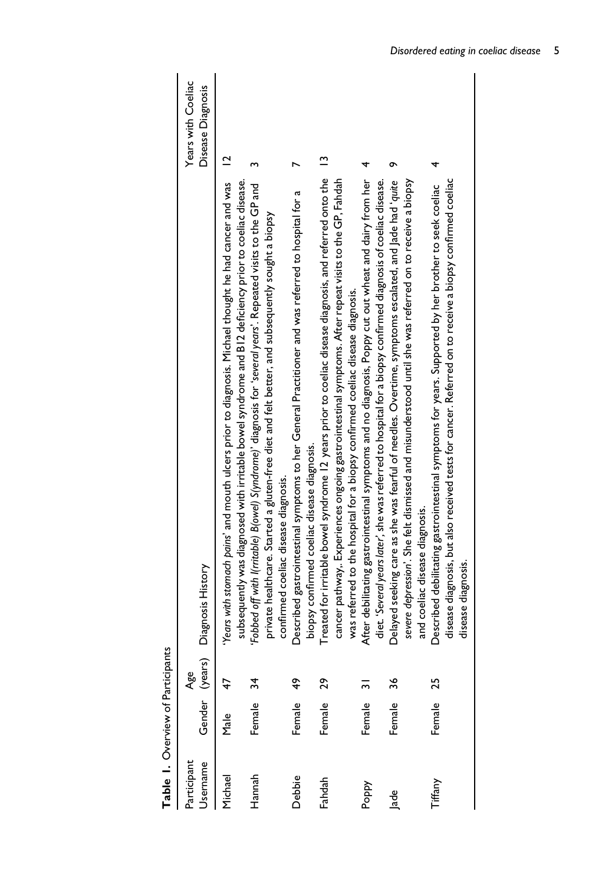| Table 1. Overview of Participants |        |                       |                                                                                                                                                                                                                                                                                                           |                                         |
|-----------------------------------|--------|-----------------------|-----------------------------------------------------------------------------------------------------------------------------------------------------------------------------------------------------------------------------------------------------------------------------------------------------------|-----------------------------------------|
| Jsername<br>Participant           |        | Gender (years)<br>Age | Diagnosis History                                                                                                                                                                                                                                                                                         | Years with Coeliac<br>Disease Diagnosis |
| Michael                           | Male   |                       | Years with stomach pains' and mouth ulcers prior to diagnosis. Michael thought he had cancer and was 12<br>subsequently was diagnosed with irritable bowel syndrome and B12 deficiency prior to coeliac disease.                                                                                          |                                         |
| Hannah                            | Female | 34                    | Fobbed off with I(rritable) B(owel) S(yndrome)' diagnosis for 'several years'. Repeated visits to the GP and<br>private healthcare. Started a gluten-free diet and felt better, and subsequently sought a biopsy                                                                                          |                                         |
| Debbie                            | Female | ÷                     | bescribed gastrointestinal symptoms to her General Practitioner and was referred to hospital for a<br>confirmed coeliac disease diagnosis.                                                                                                                                                                |                                         |
| Fahdah                            | Female | 29                    | Treated for irritable bowel syndrome 12 years prior to coeliac disease diagnosis, and referred onto the<br>cancer pathway. Experiences ongoing gastrointestinal symptoms. After repeat visits to the GP, Fahdah<br>biopsy confirmed coeliac disease diagnosis.                                            | $\tilde{ }$                             |
| Poppy                             | Female |                       | After debilitating gastrointestinal symptoms and no diagnosis, Poppy cut out wheat and dairy from her<br>diet. 'Several years later', she was referred to hospital for a biopsy confirmed diagnosis of coeliac disease.<br>was referred to the hospital for a biopsy confirmed coeliac disease diagnosis. | 4                                       |
| lade                              | Female | 36                    | severe depression'. She felt dismissed and misunderstood until she was referred on to receive a biopsy<br>oelayed seeking care as she was fearful of needles. Overtime, symptoms escalated, and Jade had 'quite                                                                                           | ᡡ                                       |
| Tiffany                           | Female | 25                    | disease diagnosis, but also received tests for cancer. Referred on to receive a biopsy confirmed coeliac<br>Described debilitating gastrointestinal symptoms for years. Supported by her brother to seek coeliac<br>and coeliac disease diagnosis.<br>disease diagnosis.                                  | 4                                       |
|                                   |        |                       |                                                                                                                                                                                                                                                                                                           |                                         |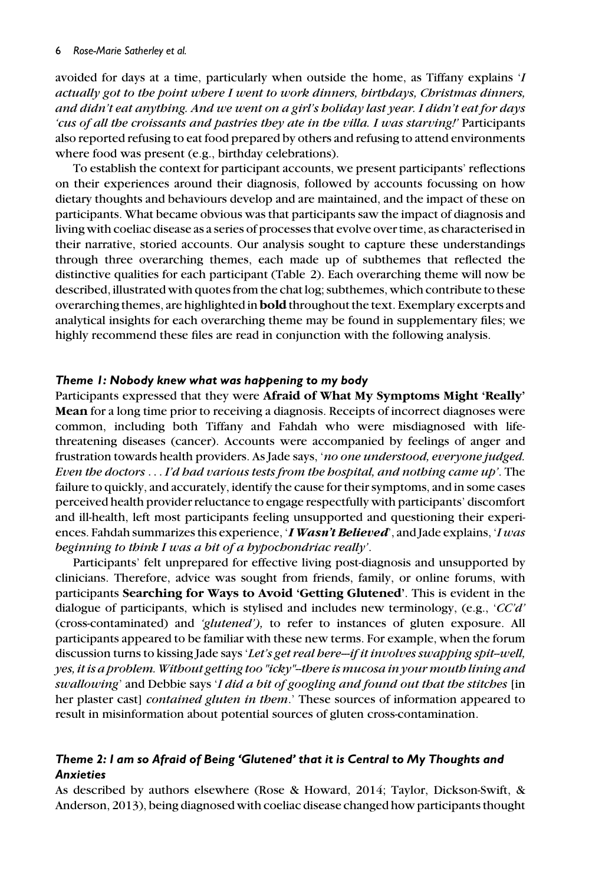avoided for days at a time, particularly when outside the home, as Tiffany explains 'I actually got to the point where I went to work dinners, birthdays, Christmas dinners, and didn't eat anything. And we went on a girl's holiday last year. I didn't eat for days 'cus of all the croissants and pastries they ate in the villa. I was starving!' Participants also reported refusing to eat food prepared by others and refusing to attend environments where food was present (e.g., birthday celebrations).

To establish the context for participant accounts, we present participants' reflections on their experiences around their diagnosis, followed by accounts focussing on how dietary thoughts and behaviours develop and are maintained, and the impact of these on participants. What became obvious was that participants saw the impact of diagnosis and living with coeliac disease as a series of processes that evolve over time, as characterised in their narrative, storied accounts. Our analysis sought to capture these understandings through three overarching themes, each made up of subthemes that reflected the distinctive qualities for each participant (Table 2). Each overarching theme will now be described, illustrated with quotes from the chat log; subthemes, which contribute to these overarching themes, are highlighted in bold throughout the text. Exemplary excerpts and analytical insights for each overarching theme may be found in supplementary files; we highly recommend these files are read in conjunction with the following analysis.

#### Theme 1: Nobody knew what was happening to my body

Participants expressed that they were Afraid of What My Symptoms Might 'Really' Mean for a long time prior to receiving a diagnosis. Receipts of incorrect diagnoses were common, including both Tiffany and Fahdah who were misdiagnosed with lifethreatening diseases (cancer). Accounts were accompanied by feelings of anger and frustration towards health providers. As Jade says, 'no one understood, everyone judged. Even the doctors ... I'd had various tests from the hospital, and nothing came up'. The failure to quickly, and accurately, identify the cause for their symptoms, and in some cases perceived health provider reluctance to engage respectfully with participants' discomfort and ill-health, left most participants feeling unsupported and questioning their experiences. Fahdah summarizes this experience, '*I Wasn't Believed*', and Jade explains, '*I was* beginning to think I was a bit of a hypochondriac really'.

Participants' felt unprepared for effective living post-diagnosis and unsupported by clinicians. Therefore, advice was sought from friends, family, or online forums, with participants Searching for Ways to Avoid 'Getting Glutened'. This is evident in the dialogue of participants, which is stylised and includes new terminology, (e.g., 'CC'd' (cross-contaminated) and 'glutened'), to refer to instances of gluten exposure. All participants appeared to be familiar with these new terms. For example, when the forum discussion turns to kissing Jade says 'Let's get real here--if it involves swapping spit-well, yes, it is a problem. Without getting too "icky"--there is mucosa in your mouth lining and swallowing' and Debbie says 'I did a bit of googling and found out that the stitches [in her plaster cast] contained gluten in them.' These sources of information appeared to result in misinformation about potential sources of gluten cross-contamination.

# Theme 2: I am so Afraid of Being 'Glutened' that it is Central to My Thoughts and Anxieties

As described by authors elsewhere (Rose & Howard, 2014; Taylor, Dickson-Swift, & Anderson, 2013), being diagnosed with coeliac disease changed how participants thought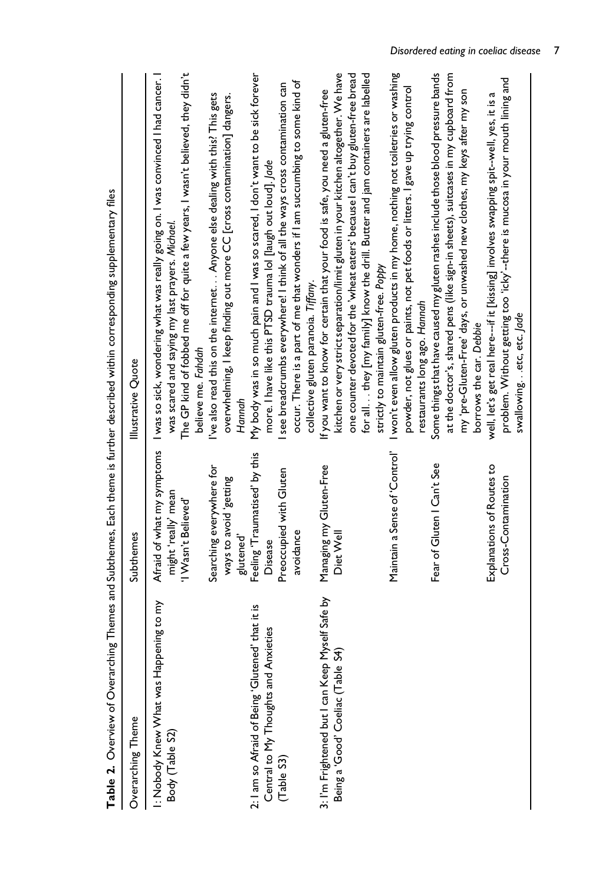| Table 2. Overview of Overarching                                                            |                                                                          | Themes and Subthemes, Each theme is further described within corresponding supplementary files                                                                                                                                                                                                                                                                                         |
|---------------------------------------------------------------------------------------------|--------------------------------------------------------------------------|----------------------------------------------------------------------------------------------------------------------------------------------------------------------------------------------------------------------------------------------------------------------------------------------------------------------------------------------------------------------------------------|
| Overarching Theme                                                                           | Subthemes                                                                | Illustrative Quote                                                                                                                                                                                                                                                                                                                                                                     |
| ku oa 8<br>I: Nobody Knew What was Happenin<br>Body (Table S2)                              | Afraid of what my symptoms<br>might 'really' mean<br>'I Wasn't Believed' | The GP kind of fobbed me off for quite a few years, I wasn't believed, they didn't<br>I was so sick, wondering what was really going on. I was convinced I had cancer. I<br>was scared and saying my last prayers. Michael.<br>believe me. Fahdah                                                                                                                                      |
|                                                                                             | Searching everywhere for<br>ways to avoid 'getting<br>glutened'          | I've also read this on the internet. Anyone else dealing with this? This gets<br>overwhelming, I keep finding out more CC [cross contamination] dangers.<br>Hannah                                                                                                                                                                                                                     |
| 2: I am so Afraid of Being 'Glutened' that it is<br>ω<br>Central to My Thoughts and Anxieti | Feeling 'Traumatised' by this<br>Disease                                 | My body was in so much pain and I was so scared, I don't want to be sick forever<br>more. I have like this PTSD trauma lol [laugh out loud]. Jade                                                                                                                                                                                                                                      |
| Table S3)                                                                                   | Preoccupied with Gluten<br>avoidance                                     | occur. There is a part of me that wonders if I am succumbing to some kind of<br>I see breadcrumbs everywhere! I think of all the ways cross contamination can<br>collective gluten paranoia. Tiffany.                                                                                                                                                                                  |
| 3: I'm Frightened but I can Keep Myself Safe by<br>Being a 'Good' Coeliac (Table S4)        | Managing my Gluten-Free<br>Diet Well                                     | kitchen or very strict separation/limit gluten in your kitchen altogether. We have<br>one counter devoted for the 'wheat eaters' because I can't buy gluten-free bread<br>for all they [my family] know the drill. Butter and jam containers are labelled<br>If you want to know for certain that your food is safe, you need a gluten-free<br>strictly to maintain gluten-free. Poppy |
|                                                                                             | Maintain a Sense of 'Control'                                            | I won't even allow gluten products in my home, nothing not toiletries or washing<br>powder, not glues or paints, not pet foods or litters. I gave up trying control<br>restaurants long ago. Hannah                                                                                                                                                                                    |
|                                                                                             | Fear of Gluten   Can't See                                               | Some things that have caused my gluten rashes include those blood pressure bands<br>at the doctor's, shared pens (like sign-in sheets), suitcases in my cupboard from<br>my 'pre-Gluten-Free' days, or unwashed new clothes, my keys after my son<br>borrows the car. Debbie                                                                                                           |
|                                                                                             | Explanations of Routes to<br>Cross-Contamination                         | problem. Without getting too 'icky'--there is mucosa in your mouth lining and<br>well, let's get real here--if it [kissing] involves swapping spit--well, yes, it is a<br>swallowingetc, etc. Jade                                                                                                                                                                                     |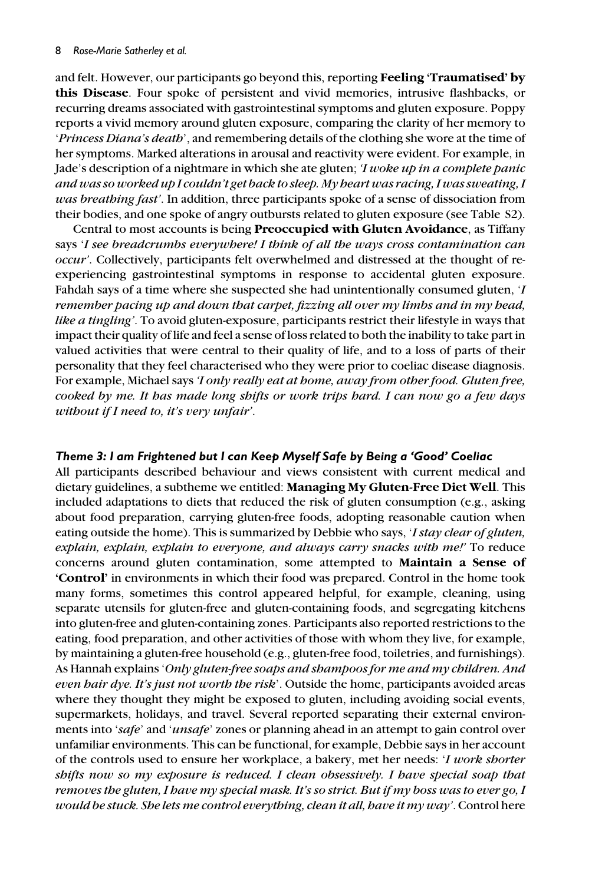and felt. However, our participants go beyond this, reporting Feeling 'Traumatised' by this Disease. Four spoke of persistent and vivid memories, intrusive flashbacks, or recurring dreams associated with gastrointestinal symptoms and gluten exposure. Poppy reports a vivid memory around gluten exposure, comparing the clarity of her memory to 'Princess Diana's death', and remembering details of the clothing she wore at the time of her symptoms. Marked alterations in arousal and reactivity were evident. For example, in Jade's description of a nightmare in which she ate gluten; 'I woke up in a complete panic and was so worked up I couldn't get back to sleep. My heart was racing, I was sweating, I was breathing fast'. In addition, three participants spoke of a sense of dissociation from their bodies, and one spoke of angry outbursts related to gluten exposure (see Table S2).

Central to most accounts is being Preoccupied with Gluten Avoidance, as Tiffany says 'I see breadcrumbs everywhere! I think of all the ways cross contamination can occur'. Collectively, participants felt overwhelmed and distressed at the thought of reexperiencing gastrointestinal symptoms in response to accidental gluten exposure. Fahdah says of a time where she suspected she had unintentionally consumed gluten, 'I remember pacing up and down that carpet, fizzing all over my limbs and in my head, like a tingling'. To avoid gluten-exposure, participants restrict their lifestyle in ways that impact their quality of life and feel a sense of loss related to both the inability to take part in valued activities that were central to their quality of life, and to a loss of parts of their personality that they feel characterised who they were prior to coeliac disease diagnosis. For example, Michael says 'I only really eat at home, away from other food. Gluten free, cooked by me. It has made long shifts or work trips hard. I can now go a few days without if I need to, it's very unfair'.

# Theme 3: I am Frightened but I can Keep Myself Safe by Being a 'Good' Coeliac

All participants described behaviour and views consistent with current medical and dietary guidelines, a subtheme we entitled: Managing My Gluten-Free Diet Well. This included adaptations to diets that reduced the risk of gluten consumption (e.g., asking about food preparation, carrying gluten-free foods, adopting reasonable caution when eating outside the home). This is summarized by Debbie who says, *I stay clear of gluten*, explain, explain, explain to everyone, and always carry snacks with me!' To reduce concerns around gluten contamination, some attempted to Maintain a Sense of 'Control' in environments in which their food was prepared. Control in the home took many forms, sometimes this control appeared helpful, for example, cleaning, using separate utensils for gluten-free and gluten-containing foods, and segregating kitchens into gluten-free and gluten-containing zones. Participants also reported restrictions to the eating, food preparation, and other activities of those with whom they live, for example, by maintaining a gluten-free household (e.g., gluten-free food, toiletries, and furnishings). As Hannah explains 'Only gluten-free soaps and shampoos for me and my children. And even hair dye. It's just not worth the risk'. Outside the home, participants avoided areas where they thought they might be exposed to gluten, including avoiding social events, supermarkets, holidays, and travel. Several reported separating their external environments into 'safe' and '*unsafe*' zones or planning ahead in an attempt to gain control over unfamiliar environments. This can be functional, for example, Debbie says in her account of the controls used to ensure her workplace, a bakery, met her needs: 'I work shorter shifts now so my exposure is reduced. I clean obsessively. I have special soap that removes the gluten, I have my special mask. It's so strict. But if my boss was to ever go, I would be stuck. She lets me control everything, clean it all, have it my way'. Control here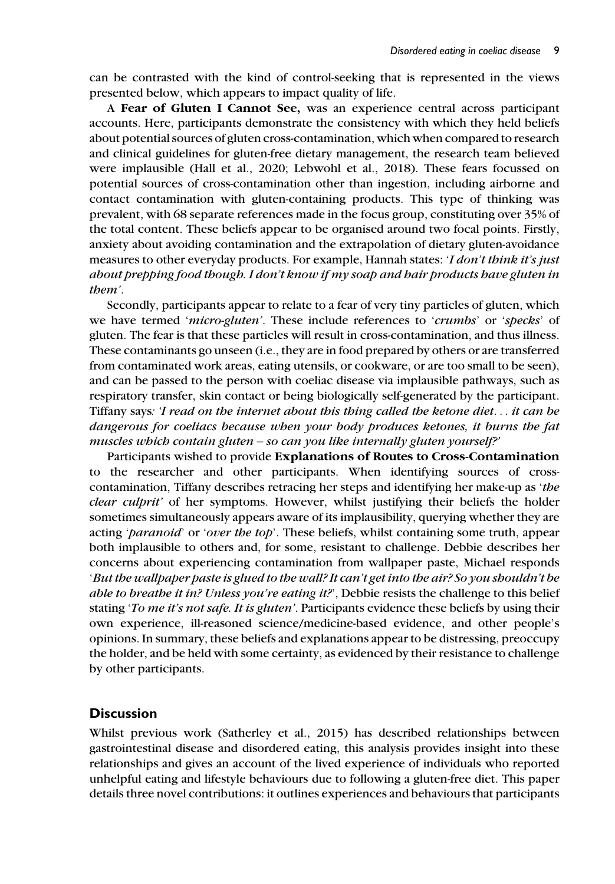can be contrasted with the kind of control-seeking that is represented in the views presented below, which appears to impact quality of life.

A Fear of Gluten I Cannot See, was an experience central across participant accounts. Here, participants demonstrate the consistency with which they held beliefs about potential sources of gluten cross-contamination, which when compared to research and clinical guidelines for gluten-free dietary management, the research team believed were implausible (Hall et al., 2020; Lebwohl et al., 2018). These fears focussed on potential sources of cross-contamination other than ingestion, including airborne and contact contamination with gluten-containing products. This type of thinking was prevalent, with 68 separate references made in the focus group, constituting over 35% of the total content. These beliefs appear to be organised around two focal points. Firstly, anxiety about avoiding contamination and the extrapolation of dietary gluten-avoidance measures to other everyday products. For example, Hannah states: '*I don't think it's just* about prepping food though. I don't know if my soap and hair products have gluten in them'.

Secondly, participants appear to relate to a fear of very tiny particles of gluten, which we have termed 'micro-gluten'. These include references to 'crumbs' or 'specks' of gluten. The fear is that these particles will result in cross-contamination, and thus illness. These contaminants go unseen (i.e., they are in food prepared by others or are transferred from contaminated work areas, eating utensils, or cookware, or are too small to be seen), and can be passed to the person with coeliac disease via implausible pathways, such as respiratory transfer, skin contact or being biologically self-generated by the participant. Tiffany says: 'I read on the internet about this thing called the ketone diet... it can be dangerous for coeliacs because when your body produces ketones, it burns the fat muscles which contain gluten – so can you like internally gluten yourself?'

Participants wished to provide Explanations of Routes to Cross-Contamination to the researcher and other participants. When identifying sources of crosscontamination, Tiffany describes retracing her steps and identifying her make-up as 'the clear culprit' of her symptoms. However, whilst justifying their beliefs the holder sometimes simultaneously appears aware of its implausibility, querying whether they are acting 'paranoid' or 'over the top'. These beliefs, whilst containing some truth, appear both implausible to others and, for some, resistant to challenge. Debbie describes her concerns about experiencing contamination from wallpaper paste, Michael responds 'But the wallpaper paste is glued to the wall? It can't get into the air? So you shouldn't be able to breathe it in? Unless you're eating it?', Debbie resists the challenge to this belief stating 'To me it's not safe. It is gluten'. Participants evidence these beliefs by using their own experience, ill-reasoned science/medicine-based evidence, and other people's opinions. In summary, these beliefs and explanations appear to be distressing, preoccupy the holder, and be held with some certainty, as evidenced by their resistance to challenge by other participants.

### **Discussion**

Whilst previous work (Satherley et al., 2015) has described relationships between gastrointestinal disease and disordered eating, this analysis provides insight into these relationships and gives an account of the lived experience of individuals who reported unhelpful eating and lifestyle behaviours due to following a gluten-free diet. This paper details three novel contributions: it outlines experiences and behaviours that participants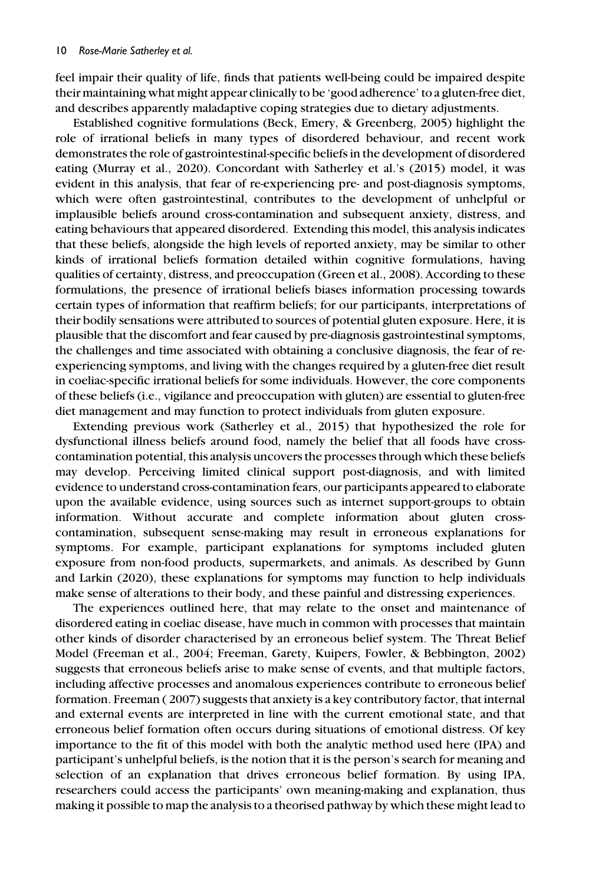feel impair their quality of life, finds that patients well-being could be impaired despite their maintaining what might appear clinically to be 'good adherence' to a gluten-free diet, and describes apparently maladaptive coping strategies due to dietary adjustments.

Established cognitive formulations (Beck, Emery, & Greenberg, 2005) highlight the role of irrational beliefs in many types of disordered behaviour, and recent work demonstrates the role of gastrointestinal-specific beliefs in the development of disordered eating (Murray et al., 2020). Concordant with Satherley et al.'s (2015) model, it was evident in this analysis, that fear of re-experiencing pre- and post-diagnosis symptoms, which were often gastrointestinal, contributes to the development of unhelpful or implausible beliefs around cross-contamination and subsequent anxiety, distress, and eating behaviours that appeared disordered. Extending this model, this analysis indicates that these beliefs, alongside the high levels of reported anxiety, may be similar to other kinds of irrational beliefs formation detailed within cognitive formulations, having qualities of certainty, distress, and preoccupation (Green et al., 2008). According to these formulations, the presence of irrational beliefs biases information processing towards certain types of information that reaffirm beliefs; for our participants, interpretations of their bodily sensations were attributed to sources of potential gluten exposure. Here, it is plausible that the discomfort and fear caused by pre-diagnosis gastrointestinal symptoms, the challenges and time associated with obtaining a conclusive diagnosis, the fear of reexperiencing symptoms, and living with the changes required by a gluten-free diet result in coeliac-specific irrational beliefs for some individuals. However, the core components of these beliefs (i.e., vigilance and preoccupation with gluten) are essential to gluten-free diet management and may function to protect individuals from gluten exposure.

Extending previous work (Satherley et al., 2015) that hypothesized the role for dysfunctional illness beliefs around food, namely the belief that all foods have crosscontamination potential, this analysis uncovers the processes through which these beliefs may develop. Perceiving limited clinical support post-diagnosis, and with limited evidence to understand cross-contamination fears, our participants appeared to elaborate upon the available evidence, using sources such as internet support-groups to obtain information. Without accurate and complete information about gluten crosscontamination, subsequent sense-making may result in erroneous explanations for symptoms. For example, participant explanations for symptoms included gluten exposure from non-food products, supermarkets, and animals. As described by Gunn and Larkin (2020), these explanations for symptoms may function to help individuals make sense of alterations to their body, and these painful and distressing experiences.

The experiences outlined here, that may relate to the onset and maintenance of disordered eating in coeliac disease, have much in common with processes that maintain other kinds of disorder characterised by an erroneous belief system. The Threat Belief Model (Freeman et al., 2004; Freeman, Garety, Kuipers, Fowler, & Bebbington, 2002) suggests that erroneous beliefs arise to make sense of events, and that multiple factors, including affective processes and anomalous experiences contribute to erroneous belief formation. Freeman ( 2007) suggests that anxiety is a key contributory factor, that internal and external events are interpreted in line with the current emotional state, and that erroneous belief formation often occurs during situations of emotional distress. Of key importance to the fit of this model with both the analytic method used here (IPA) and participant's unhelpful beliefs, is the notion that it is the person's search for meaning and selection of an explanation that drives erroneous belief formation. By using IPA, researchers could access the participants' own meaning-making and explanation, thus making it possible to map the analysis to a theorised pathway by which these might lead to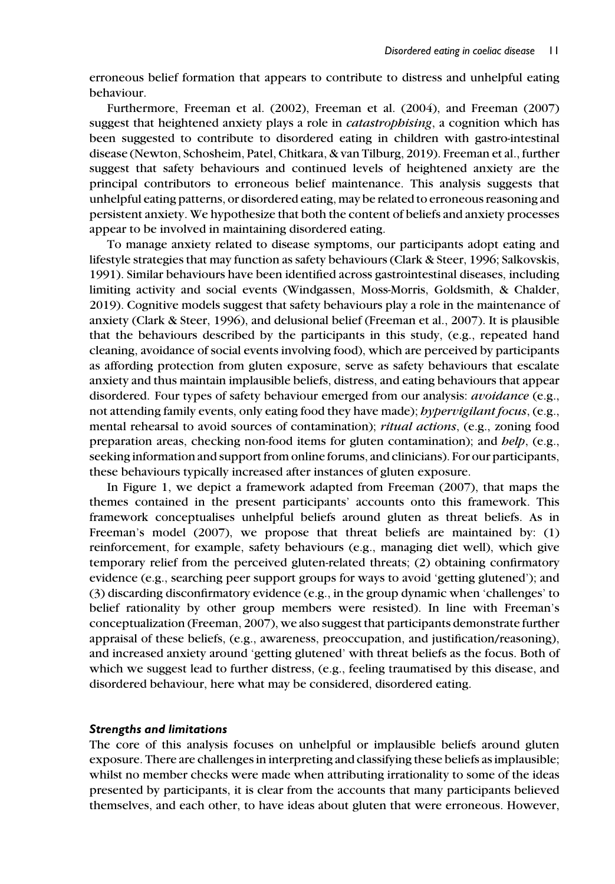erroneous belief formation that appears to contribute to distress and unhelpful eating behaviour.

Furthermore, Freeman et al. (2002), Freeman et al. (2004), and Freeman (2007) suggest that heightened anxiety plays a role in catastrophising, a cognition which has been suggested to contribute to disordered eating in children with gastro-intestinal disease (Newton, Schosheim, Patel, Chitkara, & van Tilburg, 2019). Freeman et al., further suggest that safety behaviours and continued levels of heightened anxiety are the principal contributors to erroneous belief maintenance. This analysis suggests that unhelpful eating patterns, or disordered eating, may be related to erroneous reasoning and persistent anxiety. We hypothesize that both the content of beliefs and anxiety processes appear to be involved in maintaining disordered eating.

To manage anxiety related to disease symptoms, our participants adopt eating and lifestyle strategies that may function as safety behaviours (Clark & Steer, 1996; Salkovskis, 1991). Similar behaviours have been identified across gastrointestinal diseases, including limiting activity and social events (Windgassen, Moss-Morris, Goldsmith, & Chalder, 2019). Cognitive models suggest that safety behaviours play a role in the maintenance of anxiety (Clark & Steer, 1996), and delusional belief (Freeman et al., 2007). It is plausible that the behaviours described by the participants in this study, (e.g., repeated hand cleaning, avoidance of social events involving food), which are perceived by participants as affording protection from gluten exposure, serve as safety behaviours that escalate anxiety and thus maintain implausible beliefs, distress, and eating behaviours that appear disordered. Four types of safety behaviour emerged from our analysis: *avoidance* (e.g., not attending family events, only eating food they have made); *hypervigilant focus*, (e.g., mental rehearsal to avoid sources of contamination); *ritual actions*, (e.g., zoning food preparation areas, checking non-food items for gluten contamination); and  $help$ , (e.g., seeking information and support from online forums, and clinicians). For our participants, these behaviours typically increased after instances of gluten exposure.

In Figure 1, we depict a framework adapted from Freeman (2007), that maps the themes contained in the present participants' accounts onto this framework. This framework conceptualises unhelpful beliefs around gluten as threat beliefs. As in Freeman's model (2007), we propose that threat beliefs are maintained by: (1) reinforcement, for example, safety behaviours (e.g., managing diet well), which give temporary relief from the perceived gluten-related threats; (2) obtaining confirmatory evidence (e.g., searching peer support groups for ways to avoid 'getting glutened'); and (3) discarding disconfirmatory evidence (e.g., in the group dynamic when 'challenges' to belief rationality by other group members were resisted). In line with Freeman's conceptualization (Freeman, 2007), we also suggest that participants demonstrate further appraisal of these beliefs, (e.g., awareness, preoccupation, and justification/reasoning), and increased anxiety around 'getting glutened' with threat beliefs as the focus. Both of which we suggest lead to further distress, (e.g., feeling traumatised by this disease, and disordered behaviour, here what may be considered, disordered eating.

#### Strengths and limitations

The core of this analysis focuses on unhelpful or implausible beliefs around gluten exposure. There are challenges in interpreting and classifying these beliefs as implausible; whilst no member checks were made when attributing irrationality to some of the ideas presented by participants, it is clear from the accounts that many participants believed themselves, and each other, to have ideas about gluten that were erroneous. However,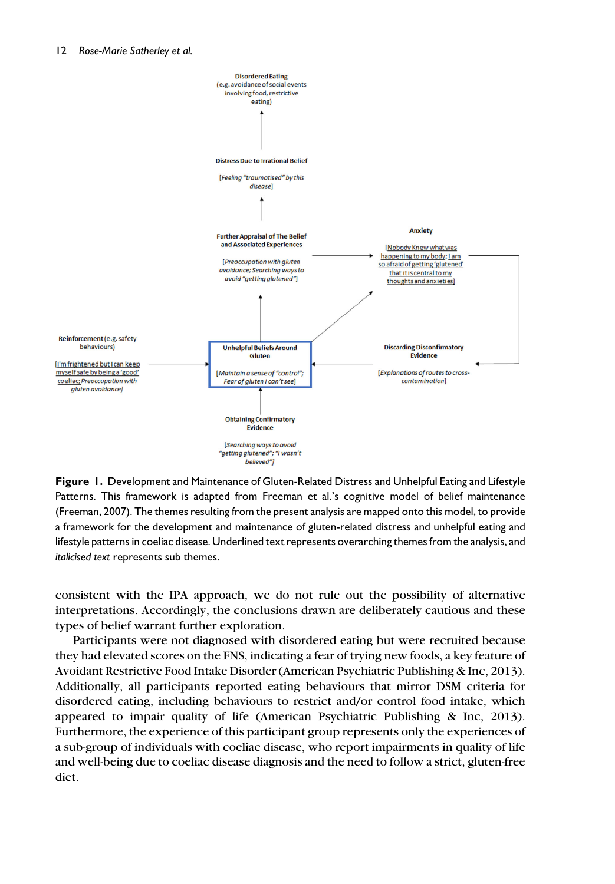

Figure 1. Development and Maintenance of Gluten-Related Distress and Unhelpful Eating and Lifestyle Patterns. This framework is adapted from Freeman et al.'s cognitive model of belief maintenance (Freeman, 2007). The themes resulting from the present analysis are mapped onto this model, to provide a framework for the development and maintenance of gluten-related distress and unhelpful eating and lifestyle patterns in coeliac disease. Underlined text represents overarching themes from the analysis, and italicised text represents sub themes.

consistent with the IPA approach, we do not rule out the possibility of alternative interpretations. Accordingly, the conclusions drawn are deliberately cautious and these types of belief warrant further exploration.

Participants were not diagnosed with disordered eating but were recruited because they had elevated scores on the FNS, indicating a fear of trying new foods, a key feature of Avoidant Restrictive Food Intake Disorder (American Psychiatric Publishing & Inc, 2013). Additionally, all participants reported eating behaviours that mirror DSM criteria for disordered eating, including behaviours to restrict and/or control food intake, which appeared to impair quality of life (American Psychiatric Publishing & Inc, 2013). Furthermore, the experience of this participant group represents only the experiences of a sub-group of individuals with coeliac disease, who report impairments in quality of life and well-being due to coeliac disease diagnosis and the need to follow a strict, gluten-free diet.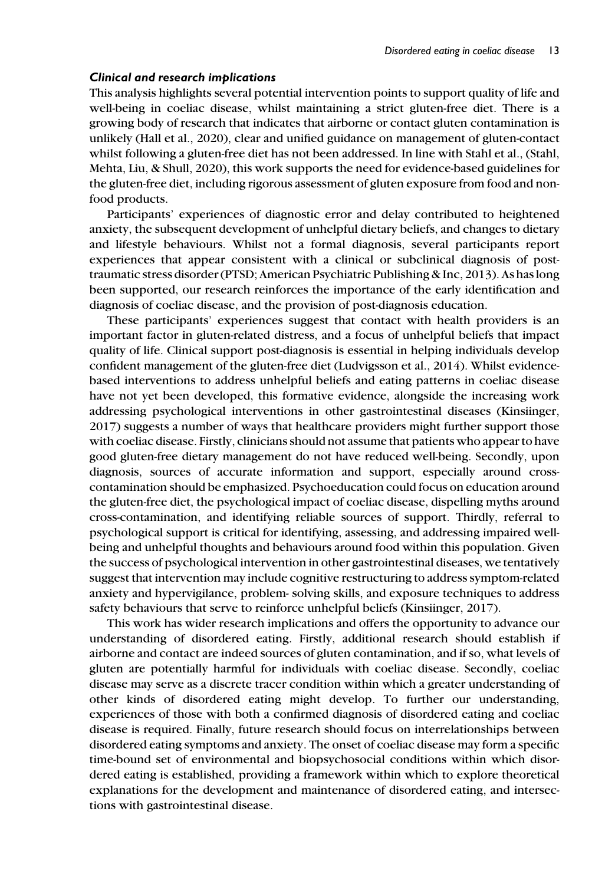#### Clinical and research implications

This analysis highlights several potential intervention points to support quality of life and well-being in coeliac disease, whilst maintaining a strict gluten-free diet. There is a growing body of research that indicates that airborne or contact gluten contamination is unlikely (Hall et al., 2020), clear and unified guidance on management of gluten-contact whilst following a gluten-free diet has not been addressed. In line with Stahl et al., (Stahl, Mehta, Liu, & Shull, 2020), this work supports the need for evidence-based guidelines for the gluten-free diet, including rigorous assessment of gluten exposure from food and nonfood products.

Participants' experiences of diagnostic error and delay contributed to heightened anxiety, the subsequent development of unhelpful dietary beliefs, and changes to dietary and lifestyle behaviours. Whilst not a formal diagnosis, several participants report experiences that appear consistent with a clinical or subclinical diagnosis of posttraumatic stress disorder (PTSD; American Psychiatric Publishing & Inc, 2013). As has long been supported, our research reinforces the importance of the early identification and diagnosis of coeliac disease, and the provision of post-diagnosis education.

These participants' experiences suggest that contact with health providers is an important factor in gluten-related distress, and a focus of unhelpful beliefs that impact quality of life. Clinical support post-diagnosis is essential in helping individuals develop confident management of the gluten-free diet (Ludvigsson et al., 2014). Whilst evidencebased interventions to address unhelpful beliefs and eating patterns in coeliac disease have not yet been developed, this formative evidence, alongside the increasing work addressing psychological interventions in other gastrointestinal diseases (Kinsiinger, 2017) suggests a number of ways that healthcare providers might further support those with coeliac disease. Firstly, clinicians should not assume that patients who appear to have good gluten-free dietary management do not have reduced well-being. Secondly, upon diagnosis, sources of accurate information and support, especially around crosscontamination should be emphasized. Psychoeducation could focus on education around the gluten-free diet, the psychological impact of coeliac disease, dispelling myths around cross-contamination, and identifying reliable sources of support. Thirdly, referral to psychological support is critical for identifying, assessing, and addressing impaired wellbeing and unhelpful thoughts and behaviours around food within this population. Given the success of psychological intervention in other gastrointestinal diseases, we tentatively suggest that intervention may include cognitive restructuring to address symptom-related anxiety and hypervigilance, problem- solving skills, and exposure techniques to address safety behaviours that serve to reinforce unhelpful beliefs (Kinsiinger, 2017).

This work has wider research implications and offers the opportunity to advance our understanding of disordered eating. Firstly, additional research should establish if airborne and contact are indeed sources of gluten contamination, and if so, what levels of gluten are potentially harmful for individuals with coeliac disease. Secondly, coeliac disease may serve as a discrete tracer condition within which a greater understanding of other kinds of disordered eating might develop. To further our understanding, experiences of those with both a confirmed diagnosis of disordered eating and coeliac disease is required. Finally, future research should focus on interrelationships between disordered eating symptoms and anxiety. The onset of coeliac disease may form a specific time-bound set of environmental and biopsychosocial conditions within which disordered eating is established, providing a framework within which to explore theoretical explanations for the development and maintenance of disordered eating, and intersections with gastrointestinal disease.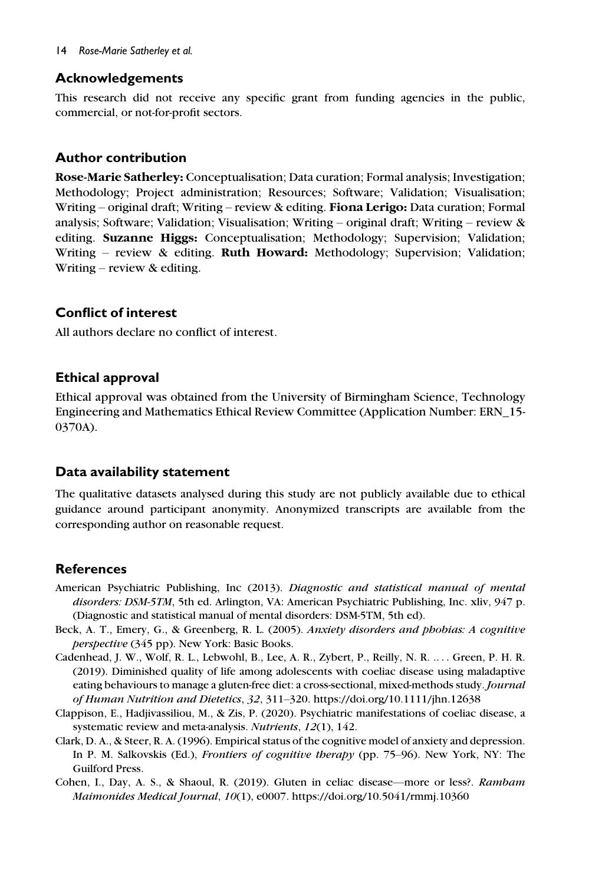#### 14 Rose-Marie Satherley et al.

# Acknowledgements

This research did not receive any specific grant from funding agencies in the public, commercial, or not-for-profit sectors.

# Author contribution

Rose-Marie Satherley: Conceptualisation; Data curation; Formal analysis; Investigation; Methodology; Project administration; Resources; Software; Validation; Visualisation; Writing – original draft; Writing – review & editing. Fiona Lerigo: Data curation; Formal analysis; Software; Validation; Visualisation; Writing – original draft; Writing – review & editing. Suzanne Higgs: Conceptualisation; Methodology; Supervision; Validation; Writing – review & editing. Ruth Howard: Methodology; Supervision; Validation; Writing – review & editing.

# Conflict of interest

All authors declare no conflict of interest.

# Ethical approval

Ethical approval was obtained from the University of Birmingham Science, Technology Engineering and Mathematics Ethical Review Committee (Application Number: ERN\_15- 0370A).

# Data availability statement

The qualitative datasets analysed during this study are not publicly available due to ethical guidance around participant anonymity. Anonymized transcripts are available from the corresponding author on reasonable request.

# **References**

- American Psychiatric Publishing, Inc (2013). Diagnostic and statistical manual of mental disorders: DSM-5TM, 5th ed. Arlington, VA: American Psychiatric Publishing, Inc. xliv, 947 p. (Diagnostic and statistical manual of mental disorders: DSM-5TM, 5th ed).
- Beck, A. T., Emery, G., & Greenberg, R. L. (2005). Anxiety disorders and phobias: A cognitive perspective (345 pp). New York: Basic Books.
- Cadenhead, J. W., Wolf, R. L., Lebwohl, B., Lee, A. R., Zybert, P., Reilly, N. R. .... Green, P. H. R. (2019). Diminished quality of life among adolescents with coeliac disease using maladaptive eating behaviours to manage a gluten-free diet: a cross-sectional, mixed-methods study. Journal of Human Nutrition and Dietetics, 32, 311–320.<https://doi.org/10.1111/jhn.12638>
- Clappison, E., Hadjivassiliou, M., & Zis, P. (2020). Psychiatric manifestations of coeliac disease, a systematic review and meta-analysis. Nutrients, 12(1), 142.
- Clark, D. A., & Steer, R. A. (1996). Empirical status of the cognitive model of anxiety and depression. In P. M. Salkovskis (Ed.), Frontiers of cognitive therapy (pp. 75–96). New York, NY: The Guilford Press.
- Cohen, I., Day, A. S., & Shaoul, R. (2019). Gluten in celiac disease—more or less?. Rambam Maimonides Medical Journal, 10(1), e0007.<https://doi.org/10.5041/rmmj.10360>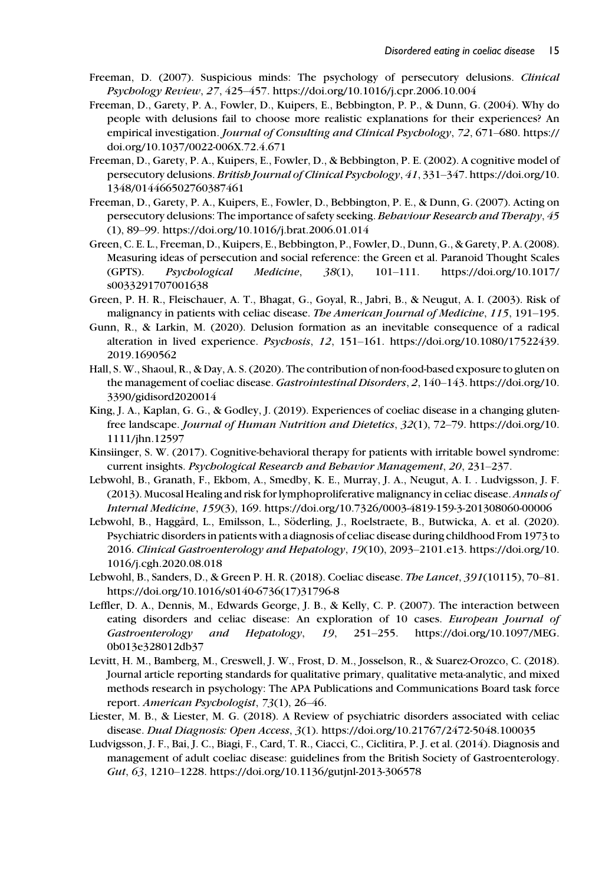- Freeman, D. (2007). Suspicious minds: The psychology of persecutory delusions. Clinical Psychology Review, 27, 425–457.<https://doi.org/10.1016/j.cpr.2006.10.004>
- Freeman, D., Garety, P. A., Fowler, D., Kuipers, E., Bebbington, P. P., & Dunn, G. (2004). Why do people with delusions fail to choose more realistic explanations for their experiences? An empirical investigation. Journal of Consulting and Clinical Psychology, 72, 671–680. [https://](https://doi.org/10.1037/0022-006X.72.4.671) [doi.org/10.1037/0022-006X.72.4.671](https://doi.org/10.1037/0022-006X.72.4.671)
- Freeman, D., Garety, P. A., Kuipers, E., Fowler, D., & Bebbington, P. E. (2002). A cognitive model of persecutory delusions. British Journal of Clinical Psychology, 41, 331–347. [https://doi.org/10.](https://doi.org/10.1348/014466502760387461) [1348/014466502760387461](https://doi.org/10.1348/014466502760387461)
- Freeman, D., Garety, P. A., Kuipers, E., Fowler, D., Bebbington, P. E., & Dunn, G. (2007). Acting on persecutory delusions: The importance of safety seeking. Behaviour Research and Therapy, 45 (1), 89–99.<https://doi.org/10.1016/j.brat.2006.01.014>
- Green, C. E. L., Freeman, D., Kuipers, E., Bebbington, P., Fowler, D., Dunn, G., & Garety, P. A. (2008). Measuring ideas of persecution and social reference: the Green et al. Paranoid Thought Scales (GPTS). Psychological Medicine, 38(1), 101–111. [https://doi.org/10.1017/](https://doi.org/10.1017/s0033291707001638) [s0033291707001638](https://doi.org/10.1017/s0033291707001638)
- Green, P. H. R., Fleischauer, A. T., Bhagat, G., Goyal, R., Jabri, B., & Neugut, A. I. (2003). Risk of malignancy in patients with celiac disease. The American Journal of Medicine, 115, 191–195.
- Gunn, R., & Larkin, M. (2020). Delusion formation as an inevitable consequence of a radical alteration in lived experience. Psychosis, 12, 151–161. [https://doi.org/10.1080/17522439.](https://doi.org/10.1080/17522439.2019.1690562) [2019.1690562](https://doi.org/10.1080/17522439.2019.1690562)
- Hall, S. W., Shaoul, R., & Day, A. S. (2020). The contribution of non-food-based exposure to gluten on the management of coeliac disease. Gastrointestinal Disorders, 2, 140–143. [https://doi.org/10.](https://doi.org/10.3390/gidisord2020014) [3390/gidisord2020014](https://doi.org/10.3390/gidisord2020014)
- King, J. A., Kaplan, G. G., & Godley, J. (2019). Experiences of coeliac disease in a changing glutenfree landscape. Journal of Human Nutrition and Dietetics, 32(1), 72–79. [https://doi.org/10.](https://doi.org/10.1111/jhn.12597) [1111/jhn.12597](https://doi.org/10.1111/jhn.12597)
- Kinsiinger, S. W. (2017). Cognitive-behavioral therapy for patients with irritable bowel syndrome: current insights. Psychological Research and Behavior Management, 20, 231–237.
- Lebwohl, B., Granath, F., Ekbom, A., Smedby, K. E., Murray, J. A., Neugut, A. I. . Ludvigsson, J. F. (2013). Mucosal Healing and risk for lymphoproliferative malignancy in celiac disease. Annals of Internal Medicine, 159(3), 169.<https://doi.org/10.7326/0003-4819-159-3-201308060-00006>
- Lebwohl, B., Haggård, L., Emilsson, L., Söderling, J., Roelstraete, B., Butwicka, A. et al. (2020). Psychiatric disorders in patients with a diagnosis of celiac disease during childhood From 1973 to 2016. Clinical Gastroenterology and Hepatology, 19(10), 2093–2101.e13. [https://doi.org/10.](https://doi.org/10.1016/j.cgh.2020.08.018) [1016/j.cgh.2020.08.018](https://doi.org/10.1016/j.cgh.2020.08.018)
- Lebwohl, B., Sanders, D., & Green P. H. R. (2018). Coeliac disease. The Lancet, 391(10115), 70–81. [https://doi.org/10.1016/s0140-6736\(17\)31796-8](https://doi.org/10.1016/s0140-6736(17)31796-8)
- Leffler, D. A., Dennis, M., Edwards George, J. B., & Kelly, C. P. (2007). The interaction between eating disorders and celiac disease: An exploration of 10 cases. European Journal of Gastroenterology and Hepatology, 19, 251–255. [https://doi.org/10.1097/MEG.](https://doi.org/10.1097/MEG.0b013e328012db37) [0b013e328012db37](https://doi.org/10.1097/MEG.0b013e328012db37)
- Levitt, H. M., Bamberg, M., Creswell, J. W., Frost, D. M., Josselson, R., & Suarez-Orozco, C. (2018). Journal article reporting standards for qualitative primary, qualitative meta-analytic, and mixed methods research in psychology: The APA Publications and Communications Board task force report. American Psychologist, 73(1), 26–46.
- Liester, M. B., & Liester, M. G. (2018). A Review of psychiatric disorders associated with celiac disease. Dual Diagnosis: Open Access, 3(1).<https://doi.org/10.21767/2472-5048.100035>
- Ludvigsson, J. F., Bai, J. C., Biagi, F., Card, T. R., Ciacci, C., Ciclitira, P. J. et al. (2014). Diagnosis and management of adult coeliac disease: guidelines from the British Society of Gastroenterology. Gut, 63, 1210–1228.<https://doi.org/10.1136/gutjnl-2013-306578>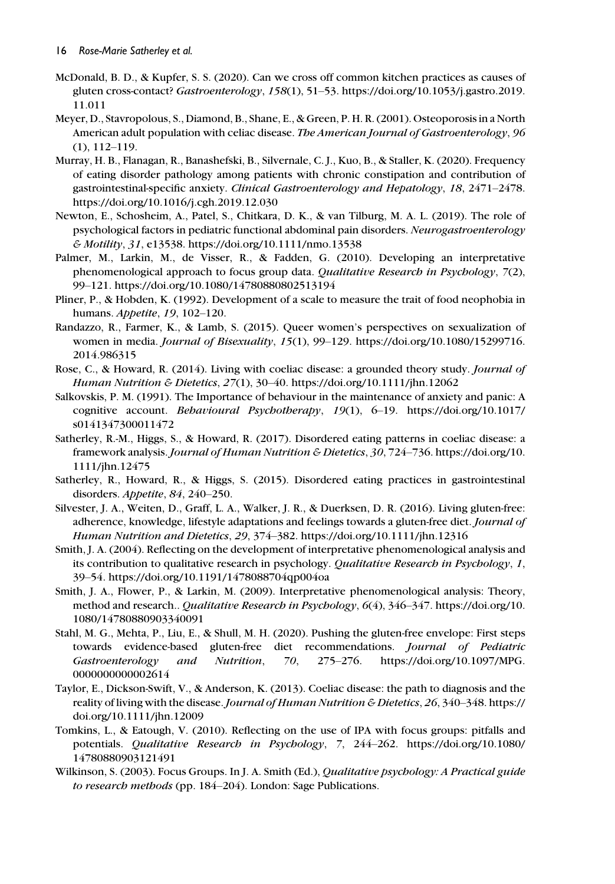- McDonald, B. D., & Kupfer, S. S. (2020). Can we cross off common kitchen practices as causes of gluten cross-contact? Gastroenterology, 158(1), 51–53. [https://doi.org/10.1053/j.gastro.2019.](https://doi.org/10.1053/j.gastro.2019.11.011) [11.011](https://doi.org/10.1053/j.gastro.2019.11.011)
- Meyer, D., Stavropolous, S., Diamond, B., Shane, E., & Green, P. H. R. (2001). Osteoporosis in a North American adult population with celiac disease. The American Journal of Gastroenterology, 96 (1), 112–119.
- Murray, H. B., Flanagan, R., Banashefski, B., Silvernale, C. J., Kuo, B., & Staller, K. (2020). Frequency of eating disorder pathology among patients with chronic constipation and contribution of gastrointestinal-specific anxiety. Clinical Gastroenterology and Hepatology, 18, 2471–2478. <https://doi.org/10.1016/j.cgh.2019.12.030>
- Newton, E., Schosheim, A., Patel, S., Chitkara, D. K., & van Tilburg, M. A. L. (2019). The role of psychological factors in pediatric functional abdominal pain disorders. Neurogastroenterology & Motility, 31, e13538.<https://doi.org/10.1111/nmo.13538>
- Palmer, M., Larkin, M., de Visser, R., & Fadden, G. (2010). Developing an interpretative phenomenological approach to focus group data. Qualitative Research in Psychology, 7(2), 99–121.<https://doi.org/10.1080/14780880802513194>
- Pliner, P., & Hobden, K. (1992). Development of a scale to measure the trait of food neophobia in humans. Appetite, 19, 102–120.
- Randazzo, R., Farmer, K., & Lamb, S. (2015). Queer women's perspectives on sexualization of women in media. *Journal of Bisexuality*, 15(1), 99-129. [https://doi.org/10.1080/15299716.](https://doi.org/10.1080/15299716.2014.986315) [2014.986315](https://doi.org/10.1080/15299716.2014.986315)
- Rose, C., & Howard, R. (2014). Living with coeliac disease: a grounded theory study. Journal of Human Nutrition & Dietetics, 27(1), 30–40.<https://doi.org/10.1111/jhn.12062>
- Salkovskis, P. M. (1991). The Importance of behaviour in the maintenance of anxiety and panic: A cognitive account. Behavioural Psychotherapy, 19(1), 6–19. [https://doi.org/10.1017/](https://doi.org/10.1017/s0141347300011472) [s0141347300011472](https://doi.org/10.1017/s0141347300011472)
- Satherley, R.-M., Higgs, S., & Howard, R. (2017). Disordered eating patterns in coeliac disease: a framework analysis. Journal of Human Nutrition & Dietetics, 30, 724–736. [https://doi.org/10.](https://doi.org/10.1111/jhn.12475) [1111/jhn.12475](https://doi.org/10.1111/jhn.12475)
- Satherley, R., Howard, R., & Higgs, S. (2015). Disordered eating practices in gastrointestinal disorders. Appetite, 84, 240–250.
- Silvester, J. A., Weiten, D., Graff, L. A., Walker, J. R., & Duerksen, D. R. (2016). Living gluten-free: adherence, knowledge, lifestyle adaptations and feelings towards a gluten-free diet. Journal of Human Nutrition and Dietetics, 29, 374–382.<https://doi.org/10.1111/jhn.12316>
- Smith, J. A. (2004). Reflecting on the development of interpretative phenomenological analysis and its contribution to qualitative research in psychology. Qualitative Research in Psychology, 1, 39–54.<https://doi.org/10.1191/1478088704qp004oa>
- Smith, J. A., Flower, P., & Larkin, M. (2009). Interpretative phenomenological analysis: Theory, method and research.. Qualitative Research in Psychology, 6(4), 346–347. [https://doi.org/10.](https://doi.org/10.1080/14780880903340091) [1080/14780880903340091](https://doi.org/10.1080/14780880903340091)
- Stahl, M. G., Mehta, P., Liu, E., & Shull, M. H. (2020). Pushing the gluten-free envelope: First steps towards evidence-based gluten-free diet recommendations. Journal of Pediatric Gastroenterology and Nutrition, 70, 275–276. [https://doi.org/10.1097/MPG.](https://doi.org/10.1097/MPG.0000000000002614) [0000000000002614](https://doi.org/10.1097/MPG.0000000000002614)
- Taylor, E., Dickson-Swift, V., & Anderson, K. (2013). Coeliac disease: the path to diagnosis and the reality of living with the disease.Journal of Human Nutrition & Dietetics, 26, 340–348. [https://](https://doi.org/10.1111/jhn.12009) [doi.org/10.1111/jhn.12009](https://doi.org/10.1111/jhn.12009)
- Tomkins, L., & Eatough, V. (2010). Reflecting on the use of IPA with focus groups: pitfalls and potentials. Qualitative Research in Psychology, 7, 244–262. [https://doi.org/10.1080/](https://doi.org/10.1080/14780880903121491) [14780880903121491](https://doi.org/10.1080/14780880903121491)
- Wilkinson, S. (2003). Focus Groups. In J. A. Smith (Ed.), Qualitative psychology: A Practical guide to research methods (pp. 184–204). London: Sage Publications.